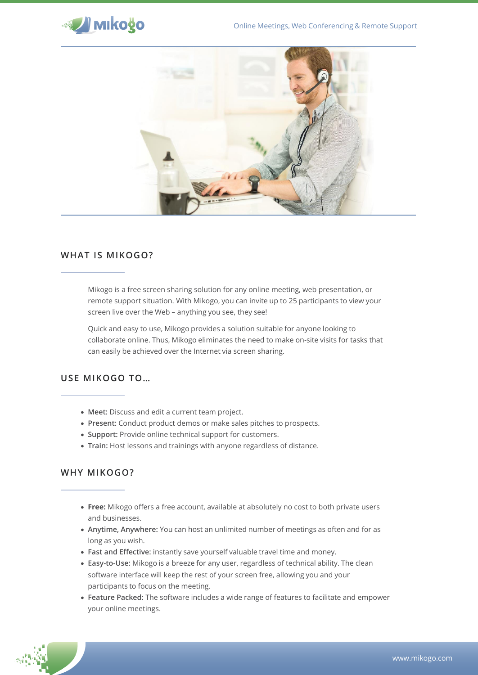



## **WHAT IS MIKOGO?**

Mikogo is a free screen sharing solution for any online meeting, web presentation, or remote support situation. With Mikogo, you can invite up to 25 participants to view your screen live over the Web – anything you see, they see!

Quick and easy to use, Mikogo provides a solution suitable for anyone looking to collaborate online. Thus, Mikogo eliminates the need to make on-site visits for tasks that can easily be achieved over the Internet via screen sharing.

# **USE MIKOGO TO…**

- **Meet:** Discuss and edit a current team project.
- **Present:** Conduct product demos or make sales pitches to prospects.
- **Support:** Provide online technical support for customers.
- **Train:** Host lessons and trainings with anyone regardless of distance.

## **WHY MIKOGO?**

- **Free:** Mikogo offers a free account, available at absolutely no cost to both private users and businesses.
- **Anytime, Anywhere:** You can host an unlimited number of meetings as often and for as long as you wish.
- **Fast and Effective:** instantly save yourself valuable travel time and money.
- **Easy-to-Use:** Mikogo is a breeze for any user, regardless of technical ability. The clean software interface will keep the rest of your screen free, allowing you and your participants to focus on the meeting.
- **Feature Packed:** The software includes a wide range of features to facilitate and empower your online meetings.

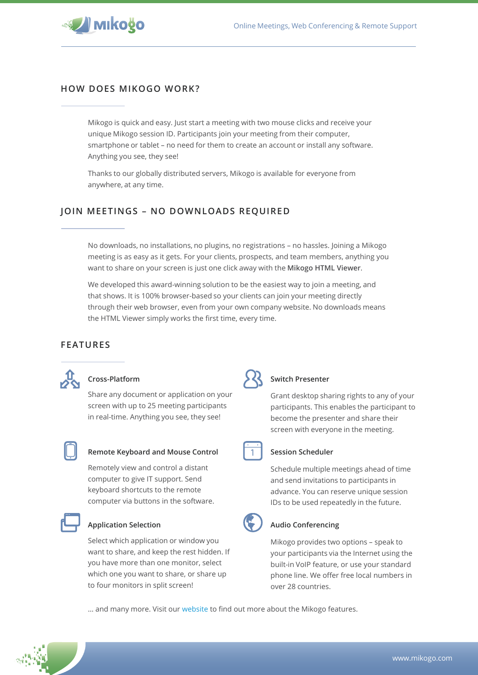

## **HOW DOES MIKOGO WORK?**

Mikogo is quick and easy. Just start a meeting with two mouse clicks and receive your unique Mikogo session ID. Participants join your meeting from their computer, smartphone or tablet – no need for them to create an account or install any software. Anything you see, they see!

Thanks to our globally distributed servers, Mikogo is available for everyone from anywhere, at any time.

# **JOIN MEETINGS – NO DOWNLOADS REQUIRED**

No downloads, no installations, no plugins, no registrations – no hassles. Joining a Mikogo meeting is as easy as it gets. For your clients, prospects, and team members, anything you want to share on your screen is just one click away with the **Mikogo HTML Viewer**.

We developed this award-winning solution to be the easiest way to join a meeting, and that shows. It is 100% browser-based so your clients can join your meeting directly through their web browser, even from your own company website. No downloads means the HTML Viewer simply works the first time, every time.

## **FEATURES**



### **Cross-Platform**

Share any document or application on your screen with up to 25 meeting participants in real-time. Anything you see, they see!



#### **Remote Keyboard and Mouse Control**

Remotely view and control a distant computer to give IT support. Send keyboard shortcuts to the remote computer via buttons in the software.



### **Application Selection**

Select which application or window you want to share, and keep the rest hidden. If you have more than one monitor, select which one you want to share, or share up to four monitors in split screen!



#### **Switch Presenter**

Grant desktop sharing rights to any of your participants. This enables the participant to become the presenter and share their screen with everyone in the meeting.



#### **Session Scheduler**

Schedule multiple meetings ahead of time and send invitations to participants in advance. You can reserve unique session IDs to be used repeatedly in the future.



#### **Audio Conferencing**

Mikogo provides two options – speak to your participants via the Internet using the built-in VoIP feature, or use your standard phone line. We offer free local numbers in over 28 countries.

… and many more. Visit our [website](http://www.mikogo.com/features) to find out more about the Mikogo features.